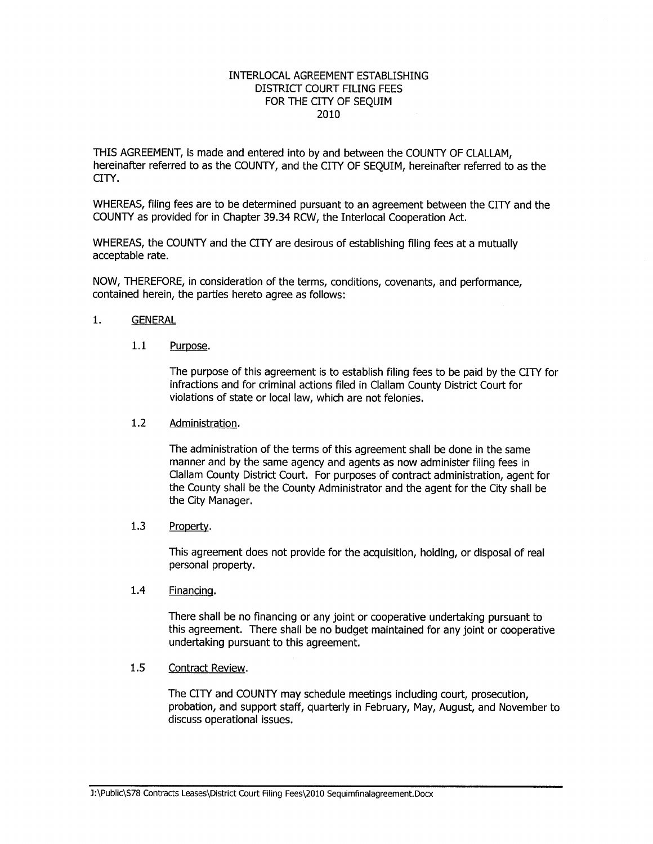### INTERLOCAL AGREEMENT ESTABLISHING DISTRICT COURT FILING FEES FOR THE CITY OF SEQUIM 2010

THIS AGREEMENT, is made and entered into by and between the COUNTY OF CLALLAM, hereinafter referred to as the COUNTY, and the CITY OF SEQUIM, hereinafter referred to as the CITY.

WHEREAS, filing fees are to be determined pursuant to an agreement between the CITY and the COUNTY as provided for in Chapter 39.34 RCW, the Interlocal Cooperation Act.

WHEREAS, the COUNTY and the CITY are desirous of establishing filing fees at a mutually acceptable rate.

NOW, THEREFORE, in consideration of the terms, conditions, covenants, and performance, contained herein, the parties hereto agree as follows:

## 1. GENERAL

## 1.1 Purpose.

The purpose of this agreement is to establish filing fees to be paid by the CITY for infractions and for criminal actions filed in Clallam County District Court for violations of state or local law, which are not felonies.

### 1.2 Administration.

The administration of the terms of this agreement shall be done in the same manner and by the same agency and agents as now administer filing fees in Clallam County District Court. For purposes of contract administration, agent for the County shall be the County Administrator and the agent for the City shall be the City Manager.

## 1.3 Property.

This agreement does not provide for the acquisition, holding, or disposal of real personal property.

# 1.4 Financing.

There shall be no financing or any joint or cooperative undertaking pursuant to this agreement. There shall be no budget maintained for any joint or cooperative undertaking pursuant to this agreement.

#### 1.5 Contract Review.

The CITY and COUNTY may schedule meetings including court, prosecution, probation, and support staff, quarterly in February, Mãy, August, and November to discuss operational issues.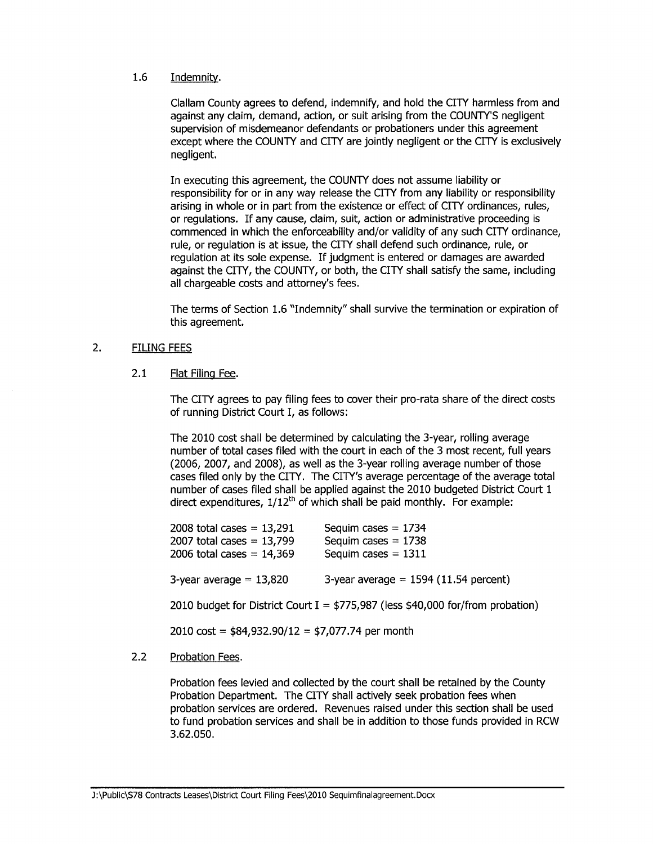# 1.6 Indemnitv.

Clallam County agrees to defend, indemnify, and hold the CITY harmless from and against any claim, demand, action, or suit arising from the COUNTY'S negligent supervision of misdemeanor defendants or probationers under this agreement except where the COUNTY and CITY are jointly negligent or the CITY is exclusively negligent.

In executing this agreement, the COUNTY does not assume liability or responsibility for or in any way release the CITY from any liability or responsibility arising in whole or in part from the existence or effect of CITY ordinances, rules, or regulations. If any cause, claim, suit, action or administrative proceeding is commenced in which the enforceability and/or validity of any such CITY ordinance, rule, or regulation is at issue, the CITY shall defend such ordinance, rule, or regulation at its sole expense. If judgment is entered or damages are awarded against the CITY, the COUNTY, or both, the CITY shall satisfy the same, including all chargeable costs and attorney's fees.

The terms of Section 1.6 "Indemnity" shall suruive the termination or expiration of this agreement.

#### 2. FILING FEES

#### 2.1 Flat Filing Fee.

The CITY agrees to pay filing fees to cover their pro-rata share of the direct costs of running District Court I, as follows:

The 2010 cost shall be determined by calculating the 3-year, rolling average number of total cases filed with the court in each of the 3 most recent, full years (2006, 2007, and 2008), as well as the 3-year rolling average number of those cases filed only by the CITY, The CITY's average percentage of the average total number of cases filed shall be applied against the 2010 budgeted District Court <sup>1</sup> direct expenditures,  $1/12^{th}$  of which shall be paid monthly. For example:

| 2008 total cases = $13,291$<br>2007 total cases = $13,799$<br>2006 total cases = $14,369$ | Sequim cases $= 1734$<br>Sequim cases $= 1738$<br>Sequim cases $= 1311$          |
|-------------------------------------------------------------------------------------------|----------------------------------------------------------------------------------|
| 3-year average $= 13,820$                                                                 | 3-year average = $1594$ (11.54 percent)                                          |
|                                                                                           | 2010 budget for District Court I = $$775,987$ (less \$40,000 for/from probation) |

 $2010 \text{ cost} = $84,932.90/12 = $7,077.74 \text{ per month}$ 

# 2.2 Probation Fees.

Probation fees levied and collected by the court shall be retained by the County Probation Department. The CITY shall actively seek probation fees when probation seruices are ordered. Revenues raised under this section shall be used to fund probation services and shall be in addition to those funds provided in RCW 3.62.050.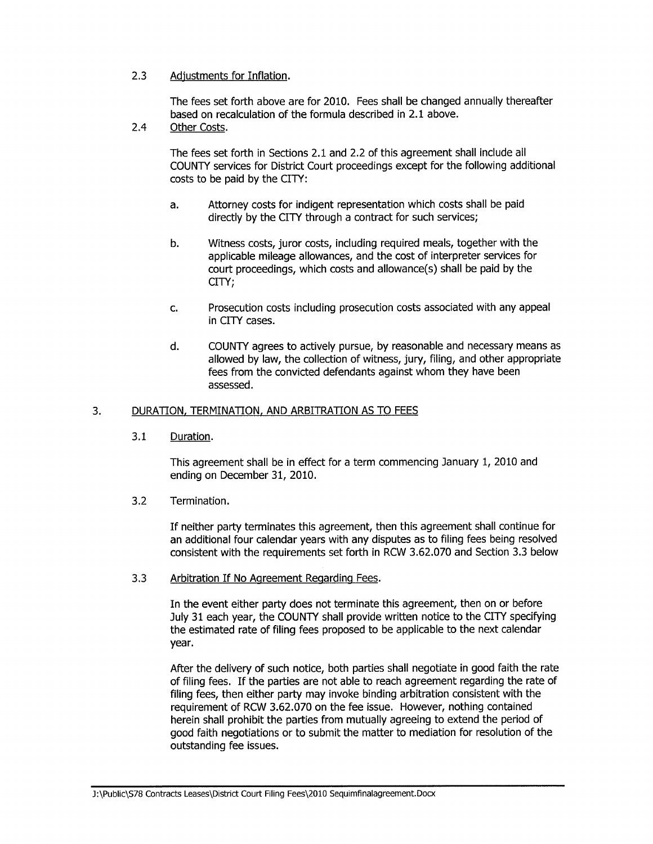# 2.3 Adjustments for Inflation.

The fees set fofth above are for 2010. Fees shall be changed annually thereafter based on recalculation of the formula described in 2.1 above.

2.4 Other Costs.

The fees set forth in Sections 2.1 and 2.2 of this agreement shall include all COUNTY services for District Court proceedings except for the following additional costs to be paid by the CITY:

- a. Attorney costs for indigent representation which costs shall be paid dírectly by the CITY through a contract for such services;
- b. Witness costs, juror costs, including required meals, together with the applicable mileage allowances, and the cost of interpreter seruices for court proceedings, which costs and allowance(s) shall be paid by the CITY;
- c. Prosecution costs including prosecution costs associated with any appeal in CITY cases.
- d. COUNTY agrees to actively pursue, by reasonable and necessary means as allowed by law, the collection of witness, jury, filing, and other appropriate fees from the convicted defendants against whom they have been assessed.

# 3. DURATION, TERMINATION, AND ARBITRATION AS TO FEES

3.1 Duration.

This agreement shall be in effect for a term commencing January 1, 2010 and ending on December 31, 2010.

3.2 Termination.

If neither party terminates this agreement then this agreement shall continue for an additional four calendar years with any disputes as to filing fees being resolved consistent with the requirements set forth in RCW 3.62.070 and Section 3.3 below

3.3 Arbitration If No Agreement Regarding Fees.

In the event either party does not terminate this agreement, then on or before July 31 each year, the COUNTY shall provide written notice to the CITY specifying the estimated rate of filing fees proposed to be applicable to the next calendar year.

After the delivery of such notice, both parties shall negotiate in good faith the rate of filing fees. If the parties are not able to reach agreement regarding the rate of filing fees, then either party may invoke binding arbitration consistent with the requirement of RCW 3.62.070 on the fee issue. However, nothing contained herein shall prohibit the parties from mutually agreeing to extend the period of good faith negotiations or to submit the matter to mediation for resolution of the outstanding fee issues.